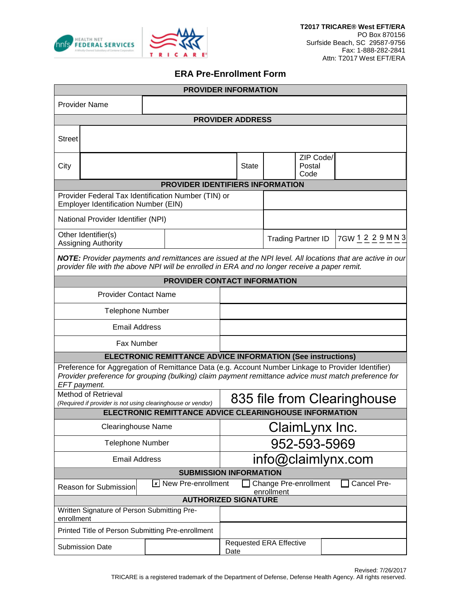



## **ERA Pre-Enrollment Form**

| <b>PROVIDER INFORMATION</b>                                                                                                                                                                                                |                                                                                             |              |                                        |                                                |  |  |  |  |
|----------------------------------------------------------------------------------------------------------------------------------------------------------------------------------------------------------------------------|---------------------------------------------------------------------------------------------|--------------|----------------------------------------|------------------------------------------------|--|--|--|--|
| <b>Provider Name</b>                                                                                                                                                                                                       |                                                                                             |              |                                        |                                                |  |  |  |  |
| <b>PROVIDER ADDRESS</b>                                                                                                                                                                                                    |                                                                                             |              |                                        |                                                |  |  |  |  |
| <b>Street</b>                                                                                                                                                                                                              |                                                                                             |              |                                        |                                                |  |  |  |  |
| City                                                                                                                                                                                                                       |                                                                                             | <b>State</b> | Postal<br>Code                         | ZIP Code/                                      |  |  |  |  |
| <b>PROVIDER IDENTIFIERS INFORMATION</b>                                                                                                                                                                                    |                                                                                             |              |                                        |                                                |  |  |  |  |
|                                                                                                                                                                                                                            | Provider Federal Tax Identification Number (TIN) or<br>Employer Identification Number (EIN) |              |                                        |                                                |  |  |  |  |
|                                                                                                                                                                                                                            | National Provider Identifier (NPI)                                                          |              |                                        |                                                |  |  |  |  |
| Other Identifier(s)<br>Assigning Authority                                                                                                                                                                                 |                                                                                             |              |                                        | 7GW 1 2 2 9 M N 3<br><b>Trading Partner ID</b> |  |  |  |  |
| NOTE: Provider payments and remittances are issued at the NPI level. All locations that are active in our<br>provider file with the above NPI will be enrolled in ERA and no longer receive a paper remit.                 |                                                                                             |              |                                        |                                                |  |  |  |  |
| PROVIDER CONTACT INFORMATION                                                                                                                                                                                               |                                                                                             |              |                                        |                                                |  |  |  |  |
|                                                                                                                                                                                                                            | <b>Provider Contact Name</b>                                                                |              |                                        |                                                |  |  |  |  |
|                                                                                                                                                                                                                            | <b>Telephone Number</b>                                                                     |              |                                        |                                                |  |  |  |  |
| <b>Email Address</b>                                                                                                                                                                                                       |                                                                                             |              |                                        |                                                |  |  |  |  |
| <b>Fax Number</b>                                                                                                                                                                                                          |                                                                                             |              |                                        |                                                |  |  |  |  |
| <b>ELECTRONIC REMITTANCE ADVICE INFORMATION (See instructions)</b>                                                                                                                                                         |                                                                                             |              |                                        |                                                |  |  |  |  |
| Preference for Aggregation of Remittance Data (e.g. Account Number Linkage to Provider Identifier)<br>Provider preference for grouping (bulking) claim payment remittance advice must match preference for<br>EFT payment. |                                                                                             |              |                                        |                                                |  |  |  |  |
| <b>Method of Retrieval</b>                                                                                                                                                                                                 |                                                                                             |              | 835 file from Clearinghouse            |                                                |  |  |  |  |
| (Required if provider is not using clearinghouse or vendor)<br>ELECTRONIC REMITTANCE ADVICE CLEARINGHOUSE INFORMATION                                                                                                      |                                                                                             |              |                                        |                                                |  |  |  |  |
| <b>Clearinghouse Name</b>                                                                                                                                                                                                  |                                                                                             |              | ClaimLynx Inc.                         |                                                |  |  |  |  |
| <b>Telephone Number</b>                                                                                                                                                                                                    |                                                                                             |              | 952-593-5969                           |                                                |  |  |  |  |
| <b>Email Address</b>                                                                                                                                                                                                       |                                                                                             |              | info@claimlynx.com                     |                                                |  |  |  |  |
| <b>SUBMISSION INFORMATION</b>                                                                                                                                                                                              |                                                                                             |              |                                        |                                                |  |  |  |  |
| Iv New Pre-enrollment<br><b>Change Pre-enrollment</b><br>Cancel Pre-<br><b>Reason for Submission</b><br>enrollment                                                                                                         |                                                                                             |              |                                        |                                                |  |  |  |  |
| <b>AUTHORIZED SIGNATURE</b><br>Written Signature of Person Submitting Pre-                                                                                                                                                 |                                                                                             |              |                                        |                                                |  |  |  |  |
| enrollment                                                                                                                                                                                                                 |                                                                                             |              |                                        |                                                |  |  |  |  |
| Printed Title of Person Submitting Pre-enrollment                                                                                                                                                                          |                                                                                             |              |                                        |                                                |  |  |  |  |
| <b>Submission Date</b>                                                                                                                                                                                                     |                                                                                             |              | <b>Requested ERA Effective</b><br>Date |                                                |  |  |  |  |